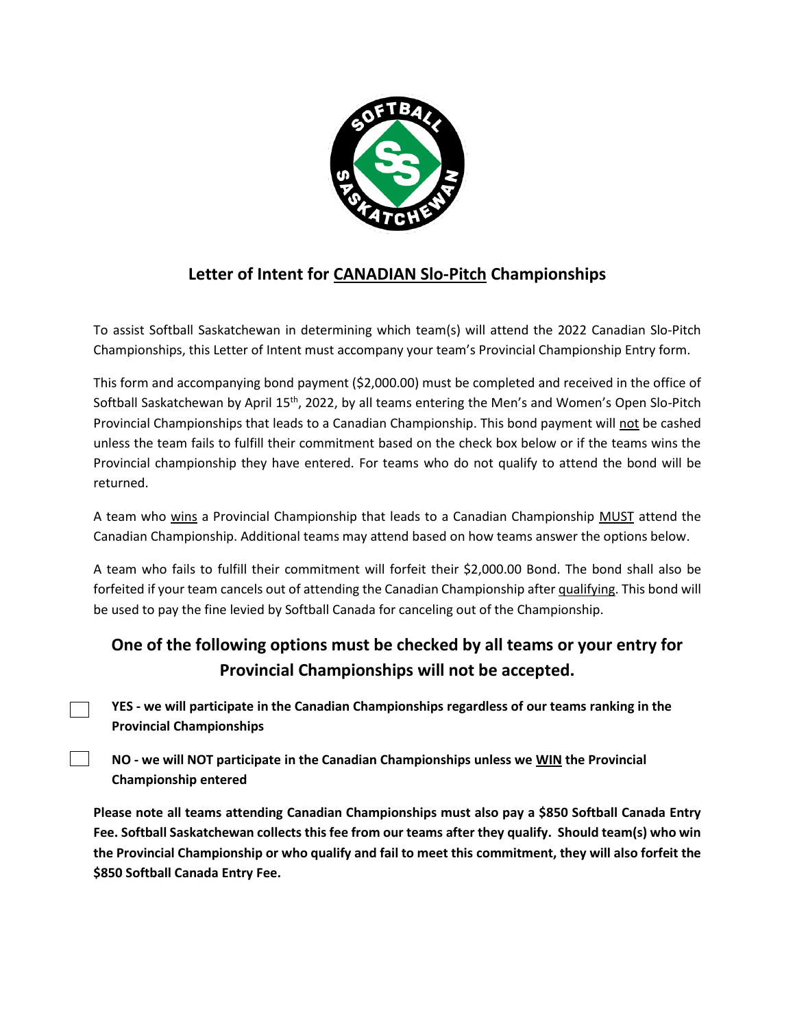

## **Letter of Intent for CANADIAN Slo-Pitch Championships**

To assist Softball Saskatchewan in determining which team(s) will attend the 2022 Canadian Slo-Pitch Championships, this Letter of Intent must accompany your team's Provincial Championship Entry form.

This form and accompanying bond payment (\$2,000.00) must be completed and received in the office of Softball Saskatchewan by April 15th, 2022, by all teams entering the Men's and Women's Open Slo-Pitch Provincial Championships that leads to a Canadian Championship. This bond payment will not be cashed unless the team fails to fulfill their commitment based on the check box below or if the teams wins the Provincial championship they have entered. For teams who do not qualify to attend the bond will be returned.

A team who wins a Provincial Championship that leads to a Canadian Championship MUST attend the Canadian Championship. Additional teams may attend based on how teams answer the options below.

A team who fails to fulfill their commitment will forfeit their \$2,000.00 Bond. The bond shall also be forfeited if your team cancels out of attending the Canadian Championship after qualifying. This bond will be used to pay the fine levied by Softball Canada for canceling out of the Championship.

## **One of the following options must be checked by all teams or your entry for Provincial Championships will not be accepted.**

**YES - we will participate in the Canadian Championships regardless of our teams ranking in the Provincial Championships** 

**NO - we will NOT participate in the Canadian Championships unless we WIN the Provincial Championship entered** 

 $\mathbf{I}$ 

**Please note all teams attending Canadian Championships must also pay a \$850 Softball Canada Entry Fee. Softball Saskatchewan collects this fee from our teams after they qualify. Should team(s) who win the Provincial Championship or who qualify and fail to meet this commitment, they will also forfeit the \$850 Softball Canada Entry Fee.**